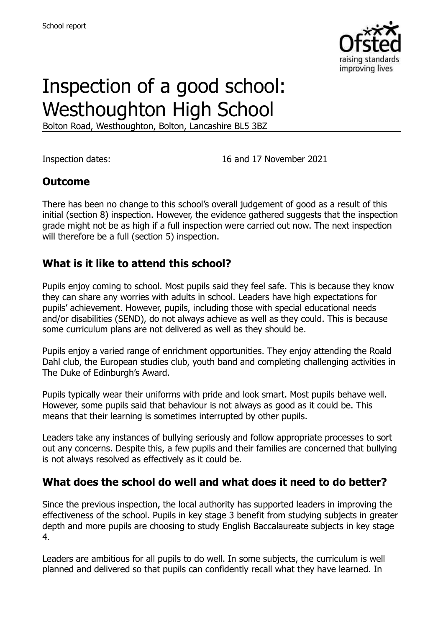

# Inspection of a good school: Westhoughton High School

Bolton Road, Westhoughton, Bolton, Lancashire BL5 3BZ

Inspection dates: 16 and 17 November 2021

# **Outcome**

There has been no change to this school's overall judgement of good as a result of this initial (section 8) inspection. However, the evidence gathered suggests that the inspection grade might not be as high if a full inspection were carried out now. The next inspection will therefore be a full (section 5) inspection.

#### **What is it like to attend this school?**

Pupils enjoy coming to school. Most pupils said they feel safe. This is because they know they can share any worries with adults in school. Leaders have high expectations for pupils' achievement. However, pupils, including those with special educational needs and/or disabilities (SEND), do not always achieve as well as they could. This is because some curriculum plans are not delivered as well as they should be.

Pupils enjoy a varied range of enrichment opportunities. They enjoy attending the Roald Dahl club, the European studies club, youth band and completing challenging activities in The Duke of Edinburgh's Award.

Pupils typically wear their uniforms with pride and look smart. Most pupils behave well. However, some pupils said that behaviour is not always as good as it could be. This means that their learning is sometimes interrupted by other pupils.

Leaders take any instances of bullying seriously and follow appropriate processes to sort out any concerns. Despite this, a few pupils and their families are concerned that bullying is not always resolved as effectively as it could be.

# **What does the school do well and what does it need to do better?**

Since the previous inspection, the local authority has supported leaders in improving the effectiveness of the school. Pupils in key stage 3 benefit from studying subjects in greater depth and more pupils are choosing to study English Baccalaureate subjects in key stage 4.

Leaders are ambitious for all pupils to do well. In some subjects, the curriculum is well planned and delivered so that pupils can confidently recall what they have learned. In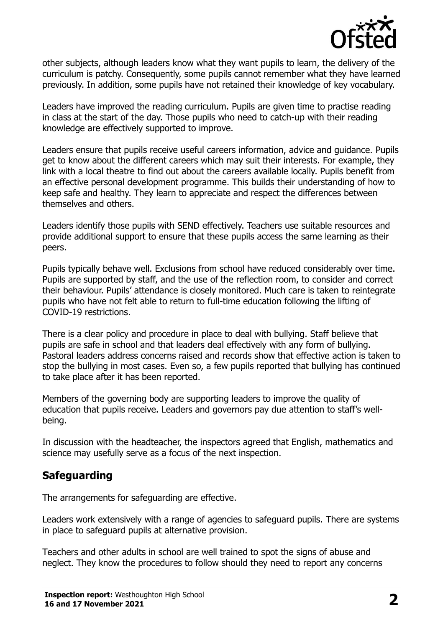

other subjects, although leaders know what they want pupils to learn, the delivery of the curriculum is patchy. Consequently, some pupils cannot remember what they have learned previously. In addition, some pupils have not retained their knowledge of key vocabulary.

Leaders have improved the reading curriculum. Pupils are given time to practise reading in class at the start of the day. Those pupils who need to catch-up with their reading knowledge are effectively supported to improve.

Leaders ensure that pupils receive useful careers information, advice and guidance. Pupils get to know about the different careers which may suit their interests. For example, they link with a local theatre to find out about the careers available locally. Pupils benefit from an effective personal development programme. This builds their understanding of how to keep safe and healthy. They learn to appreciate and respect the differences between themselves and others.

Leaders identify those pupils with SEND effectively. Teachers use suitable resources and provide additional support to ensure that these pupils access the same learning as their peers.

Pupils typically behave well. Exclusions from school have reduced considerably over time. Pupils are supported by staff, and the use of the reflection room, to consider and correct their behaviour. Pupils' attendance is closely monitored. Much care is taken to reintegrate pupils who have not felt able to return to full-time education following the lifting of COVID-19 restrictions.

There is a clear policy and procedure in place to deal with bullying. Staff believe that pupils are safe in school and that leaders deal effectively with any form of bullying. Pastoral leaders address concerns raised and records show that effective action is taken to stop the bullying in most cases. Even so, a few pupils reported that bullying has continued to take place after it has been reported.

Members of the governing body are supporting leaders to improve the quality of education that pupils receive. Leaders and governors pay due attention to staff's wellbeing.

In discussion with the headteacher, the inspectors agreed that English, mathematics and science may usefully serve as a focus of the next inspection.

# **Safeguarding**

The arrangements for safeguarding are effective.

Leaders work extensively with a range of agencies to safeguard pupils. There are systems in place to safeguard pupils at alternative provision.

Teachers and other adults in school are well trained to spot the signs of abuse and neglect. They know the procedures to follow should they need to report any concerns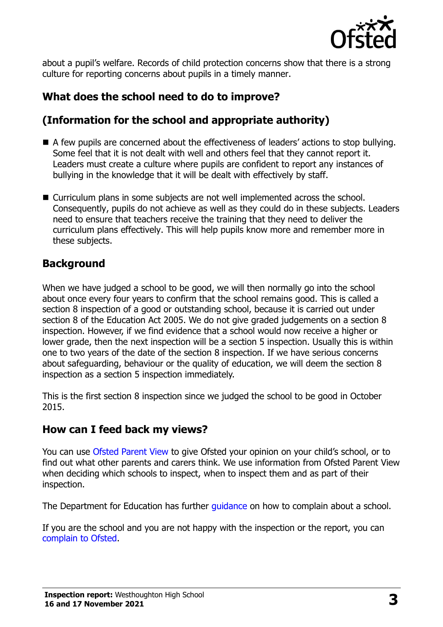

about a pupil's welfare. Records of child protection concerns show that there is a strong culture for reporting concerns about pupils in a timely manner.

# **What does the school need to do to improve?**

# **(Information for the school and appropriate authority)**

- A few pupils are concerned about the effectiveness of leaders' actions to stop bullying. Some feel that it is not dealt with well and others feel that they cannot report it. Leaders must create a culture where pupils are confident to report any instances of bullying in the knowledge that it will be dealt with effectively by staff.
- Curriculum plans in some subjects are not well implemented across the school. Consequently, pupils do not achieve as well as they could do in these subjects. Leaders need to ensure that teachers receive the training that they need to deliver the curriculum plans effectively. This will help pupils know more and remember more in these subjects.

# **Background**

When we have judged a school to be good, we will then normally go into the school about once every four years to confirm that the school remains good. This is called a section 8 inspection of a good or outstanding school, because it is carried out under section 8 of the Education Act 2005. We do not give graded judgements on a section 8 inspection. However, if we find evidence that a school would now receive a higher or lower grade, then the next inspection will be a section 5 inspection. Usually this is within one to two years of the date of the section 8 inspection. If we have serious concerns about safeguarding, behaviour or the quality of education, we will deem the section 8 inspection as a section 5 inspection immediately.

This is the first section 8 inspection since we judged the school to be good in October 2015.

# **How can I feed back my views?**

You can use [Ofsted Parent View](https://parentview.ofsted.gov.uk/) to give Ofsted your opinion on your child's school, or to find out what other parents and carers think. We use information from Ofsted Parent View when deciding which schools to inspect, when to inspect them and as part of their inspection.

The Department for Education has further quidance on how to complain about a school.

If you are the school and you are not happy with the inspection or the report, you can [complain to Ofsted.](https://www.gov.uk/complain-ofsted-report)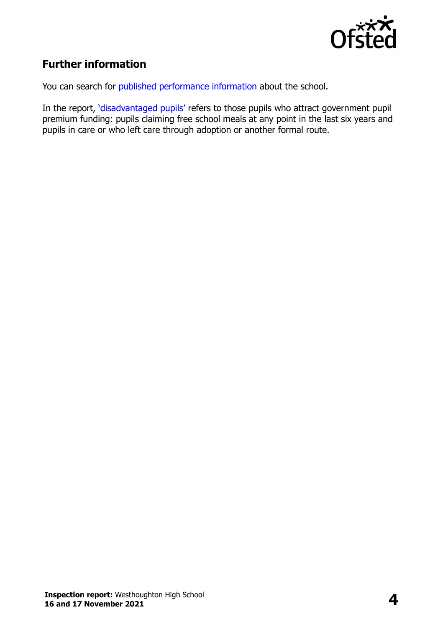

# **Further information**

You can search for [published performance information](http://www.compare-school-performance.service.gov.uk/) about the school.

In the report, '[disadvantaged pupils](http://www.gov.uk/guidance/pupil-premium-information-for-schools-and-alternative-provision-settings)' refers to those pupils who attract government pupil premium funding: pupils claiming free school meals at any point in the last six years and pupils in care or who left care through adoption or another formal route.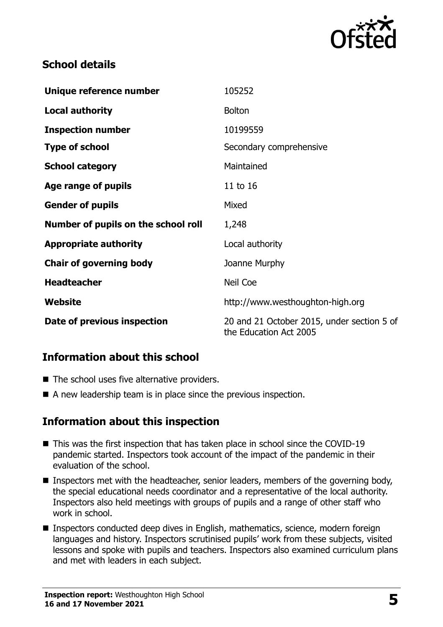

# **School details**

| Unique reference number             | 105252                                                               |
|-------------------------------------|----------------------------------------------------------------------|
| <b>Local authority</b>              | <b>Bolton</b>                                                        |
| <b>Inspection number</b>            | 10199559                                                             |
| <b>Type of school</b>               | Secondary comprehensive                                              |
| <b>School category</b>              | Maintained                                                           |
| <b>Age range of pupils</b>          | 11 to 16                                                             |
| <b>Gender of pupils</b>             | Mixed                                                                |
| Number of pupils on the school roll | 1,248                                                                |
| <b>Appropriate authority</b>        | Local authority                                                      |
| <b>Chair of governing body</b>      | Joanne Murphy                                                        |
| <b>Headteacher</b>                  | Neil Coe                                                             |
| Website                             | http://www.westhoughton-high.org                                     |
| Date of previous inspection         | 20 and 21 October 2015, under section 5 of<br>the Education Act 2005 |

# **Information about this school**

- The school uses five alternative providers.
- A new leadership team is in place since the previous inspection.

# **Information about this inspection**

- This was the first inspection that has taken place in school since the COVID-19 pandemic started. Inspectors took account of the impact of the pandemic in their evaluation of the school.
- Inspectors met with the headteacher, senior leaders, members of the governing body, the special educational needs coordinator and a representative of the local authority. Inspectors also held meetings with groups of pupils and a range of other staff who work in school.
- Inspectors conducted deep dives in English, mathematics, science, modern foreign languages and history. Inspectors scrutinised pupils' work from these subjects, visited lessons and spoke with pupils and teachers. Inspectors also examined curriculum plans and met with leaders in each subject.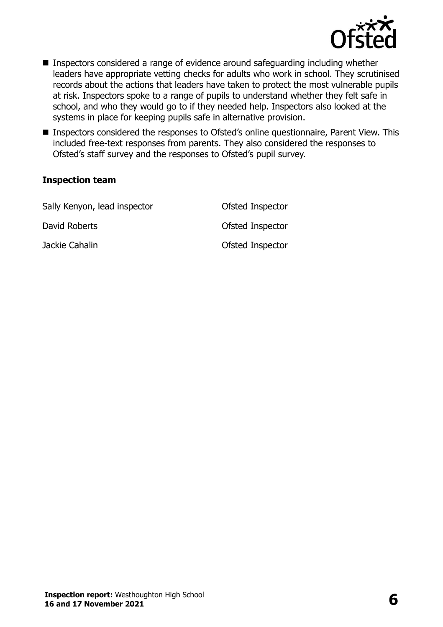

- Inspectors considered a range of evidence around safeguarding including whether leaders have appropriate vetting checks for adults who work in school. They scrutinised records about the actions that leaders have taken to protect the most vulnerable pupils at risk. Inspectors spoke to a range of pupils to understand whether they felt safe in school, and who they would go to if they needed help. Inspectors also looked at the systems in place for keeping pupils safe in alternative provision.
- Inspectors considered the responses to Ofsted's online questionnaire, Parent View. This included free-text responses from parents. They also considered the responses to Ofsted's staff survey and the responses to Ofsted's pupil survey.

#### **Inspection team**

| Sally Kenyon, lead inspector | Ofsted Inspector |
|------------------------------|------------------|
| David Roberts                | Ofsted Inspector |
| Jackie Cahalin               | Ofsted Inspector |